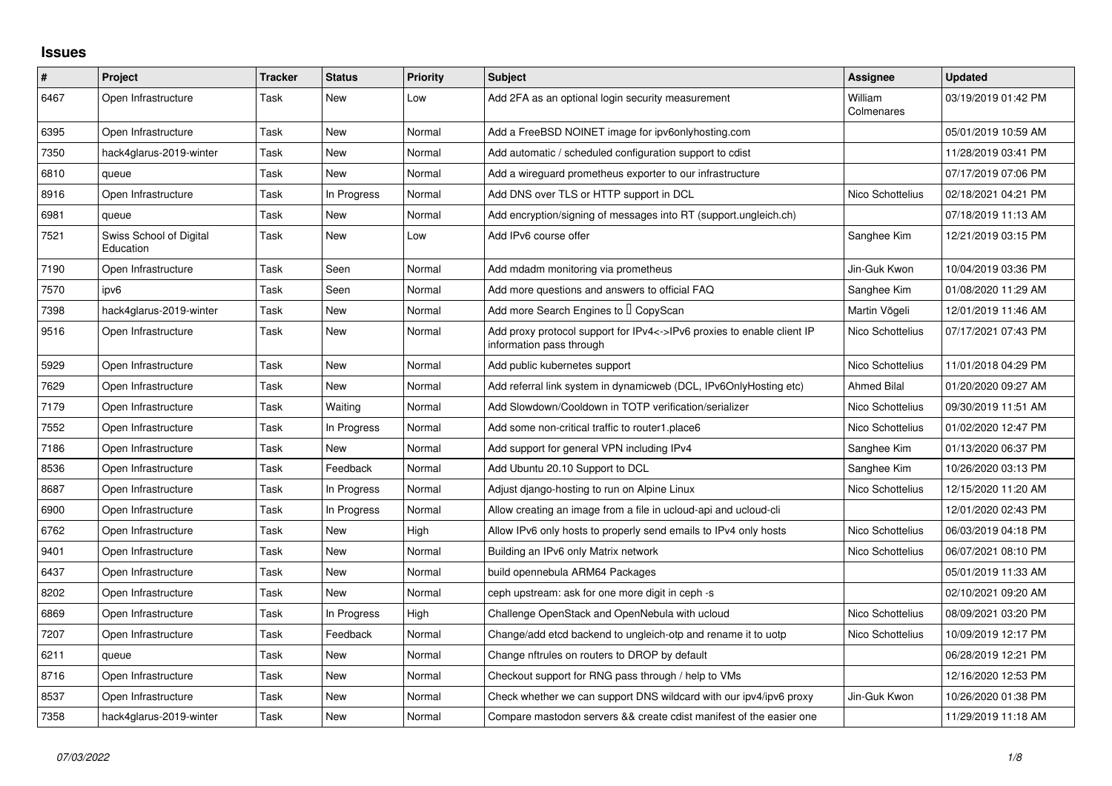## **Issues**

| $\pmb{\#}$ | Project                              | Tracker | <b>Status</b> | <b>Priority</b> | <b>Subject</b>                                                                                     | Assignee              | <b>Updated</b>      |
|------------|--------------------------------------|---------|---------------|-----------------|----------------------------------------------------------------------------------------------------|-----------------------|---------------------|
| 6467       | Open Infrastructure                  | Task    | New           | Low             | Add 2FA as an optional login security measurement                                                  | William<br>Colmenares | 03/19/2019 01:42 PM |
| 6395       | Open Infrastructure                  | Task    | New           | Normal          | Add a FreeBSD NOINET image for ipv6onlyhosting.com                                                 |                       | 05/01/2019 10:59 AM |
| 7350       | hack4glarus-2019-winter              | Task    | <b>New</b>    | Normal          | Add automatic / scheduled configuration support to cdist                                           |                       | 11/28/2019 03:41 PM |
| 6810       | queue                                | Task    | New           | Normal          | Add a wireguard prometheus exporter to our infrastructure                                          |                       | 07/17/2019 07:06 PM |
| 8916       | Open Infrastructure                  | Task    | In Progress   | Normal          | Add DNS over TLS or HTTP support in DCL                                                            | Nico Schottelius      | 02/18/2021 04:21 PM |
| 6981       | queue                                | Task    | New           | Normal          | Add encryption/signing of messages into RT (support ungleich ch)                                   |                       | 07/18/2019 11:13 AM |
| 7521       | Swiss School of Digital<br>Education | Task    | New           | Low             | Add IPv6 course offer                                                                              | Sanghee Kim           | 12/21/2019 03:15 PM |
| 7190       | Open Infrastructure                  | Task    | Seen          | Normal          | Add mdadm monitoring via prometheus                                                                | Jin-Guk Kwon          | 10/04/2019 03:36 PM |
| 7570       | ipv6                                 | Task    | Seen          | Normal          | Add more questions and answers to official FAQ                                                     | Sanghee Kim           | 01/08/2020 11:29 AM |
| 7398       | hack4glarus-2019-winter              | Task    | New           | Normal          | Add more Search Engines to I CopyScan                                                              | Martin Vögeli         | 12/01/2019 11:46 AM |
| 9516       | Open Infrastructure                  | Task    | New           | Normal          | Add proxy protocol support for IPv4<->IPv6 proxies to enable client IP<br>information pass through | Nico Schottelius      | 07/17/2021 07:43 PM |
| 5929       | Open Infrastructure                  | Task    | New           | Normal          | Add public kubernetes support                                                                      | Nico Schottelius      | 11/01/2018 04:29 PM |
| 7629       | Open Infrastructure                  | Task    | New           | Normal          | Add referral link system in dynamicweb (DCL, IPv6OnlyHosting etc)                                  | <b>Ahmed Bilal</b>    | 01/20/2020 09:27 AM |
| 7179       | Open Infrastructure                  | Task    | Waiting       | Normal          | Add Slowdown/Cooldown in TOTP verification/serializer                                              | Nico Schottelius      | 09/30/2019 11:51 AM |
| 7552       | Open Infrastructure                  | Task    | In Progress   | Normal          | Add some non-critical traffic to router1.place6                                                    | Nico Schottelius      | 01/02/2020 12:47 PM |
| 7186       | Open Infrastructure                  | Task    | New           | Normal          | Add support for general VPN including IPv4                                                         | Sanghee Kim           | 01/13/2020 06:37 PM |
| 8536       | Open Infrastructure                  | Task    | Feedback      | Normal          | Add Ubuntu 20.10 Support to DCL                                                                    | Sanghee Kim           | 10/26/2020 03:13 PM |
| 8687       | Open Infrastructure                  | Task    | In Progress   | Normal          | Adjust diango-hosting to run on Alpine Linux                                                       | Nico Schottelius      | 12/15/2020 11:20 AM |
| 6900       | Open Infrastructure                  | Task    | In Progress   | Normal          | Allow creating an image from a file in ucloud-api and ucloud-cli                                   |                       | 12/01/2020 02:43 PM |
| 6762       | Open Infrastructure                  | Task    | New           | High            | Allow IPv6 only hosts to properly send emails to IPv4 only hosts                                   | Nico Schottelius      | 06/03/2019 04:18 PM |
| 9401       | Open Infrastructure                  | Task    | New           | Normal          | Building an IPv6 only Matrix network                                                               | Nico Schottelius      | 06/07/2021 08:10 PM |
| 6437       | Open Infrastructure                  | Task    | New           | Normal          | build opennebula ARM64 Packages                                                                    |                       | 05/01/2019 11:33 AM |
| 8202       | Open Infrastructure                  | Task    | <b>New</b>    | Normal          | ceph upstream: ask for one more digit in ceph -s                                                   |                       | 02/10/2021 09:20 AM |
| 6869       | Open Infrastructure                  | Task    | In Progress   | High            | Challenge OpenStack and OpenNebula with ucloud                                                     | Nico Schottelius      | 08/09/2021 03:20 PM |
| 7207       | Open Infrastructure                  | Task    | Feedback      | Normal          | Change/add etcd backend to ungleich-otp and rename it to uotp                                      | Nico Schottelius      | 10/09/2019 12:17 PM |
| 6211       | queue                                | Task    | New           | Normal          | Change nftrules on routers to DROP by default                                                      |                       | 06/28/2019 12:21 PM |
| 8716       | Open Infrastructure                  | Task    | New           | Normal          | Checkout support for RNG pass through / help to VMs                                                |                       | 12/16/2020 12:53 PM |
| 8537       | Open Infrastructure                  | Task    | New           | Normal          | Check whether we can support DNS wildcard with our ipv4/ipv6 proxy                                 | Jin-Guk Kwon          | 10/26/2020 01:38 PM |
| 7358       | hack4glarus-2019-winter              | Task    | New           | Normal          | Compare mastodon servers && create cdist manifest of the easier one                                |                       | 11/29/2019 11:18 AM |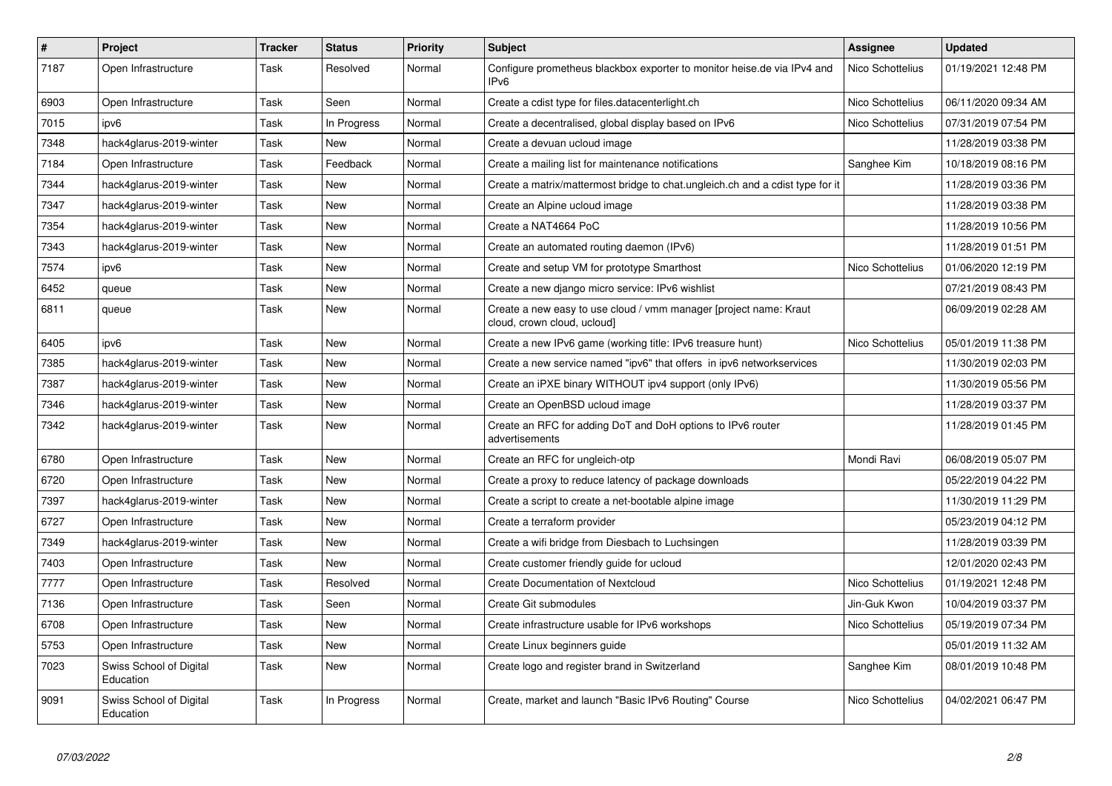| $\vert$ # | Project                              | <b>Tracker</b> | <b>Status</b> | <b>Priority</b> | <b>Subject</b>                                                                                    | <b>Assignee</b>  | <b>Updated</b>      |
|-----------|--------------------------------------|----------------|---------------|-----------------|---------------------------------------------------------------------------------------------------|------------------|---------------------|
| 7187      | Open Infrastructure                  | Task           | Resolved      | Normal          | Configure prometheus blackbox exporter to monitor heise.de via IPv4 and<br>IP <sub>v6</sub>       | Nico Schottelius | 01/19/2021 12:48 PM |
| 6903      | Open Infrastructure                  | Task           | Seen          | Normal          | Create a cdist type for files.datacenterlight.ch                                                  | Nico Schottelius | 06/11/2020 09:34 AM |
| 7015      | ipv6                                 | Task           | In Progress   | Normal          | Create a decentralised, global display based on IPv6                                              | Nico Schottelius | 07/31/2019 07:54 PM |
| 7348      | hack4glarus-2019-winter              | Task           | New           | Normal          | Create a devuan ucloud image                                                                      |                  | 11/28/2019 03:38 PM |
| 7184      | Open Infrastructure                  | Task           | Feedback      | Normal          | Create a mailing list for maintenance notifications                                               | Sanghee Kim      | 10/18/2019 08:16 PM |
| 7344      | hack4glarus-2019-winter              | Task           | New           | Normal          | Create a matrix/mattermost bridge to chat.ungleich.ch and a cdist type for it                     |                  | 11/28/2019 03:36 PM |
| 7347      | hack4glarus-2019-winter              | Task           | <b>New</b>    | Normal          | Create an Alpine ucloud image                                                                     |                  | 11/28/2019 03:38 PM |
| 7354      | hack4glarus-2019-winter              | Task           | New           | Normal          | Create a NAT4664 PoC                                                                              |                  | 11/28/2019 10:56 PM |
| 7343      | hack4glarus-2019-winter              | Task           | New           | Normal          | Create an automated routing daemon (IPv6)                                                         |                  | 11/28/2019 01:51 PM |
| 7574      | ipv6                                 | Task           | New           | Normal          | Create and setup VM for prototype Smarthost                                                       | Nico Schottelius | 01/06/2020 12:19 PM |
| 6452      | queue                                | Task           | New           | Normal          | Create a new diango micro service: IPv6 wishlist                                                  |                  | 07/21/2019 08:43 PM |
| 6811      | queue                                | Task           | New           | Normal          | Create a new easy to use cloud / vmm manager [project name: Kraut]<br>cloud, crown cloud, ucloud] |                  | 06/09/2019 02:28 AM |
| 6405      | ipv6                                 | Task           | New           | Normal          | Create a new IPv6 game (working title: IPv6 treasure hunt)                                        | Nico Schottelius | 05/01/2019 11:38 PM |
| 7385      | hack4glarus-2019-winter              | Task           | <b>New</b>    | Normal          | Create a new service named "ipv6" that offers in ipv6 networkservices                             |                  | 11/30/2019 02:03 PM |
| 7387      | hack4glarus-2019-winter              | Task           | New           | Normal          | Create an iPXE binary WITHOUT ipv4 support (only IPv6)                                            |                  | 11/30/2019 05:56 PM |
| 7346      | hack4glarus-2019-winter              | Task           | New           | Normal          | Create an OpenBSD ucloud image                                                                    |                  | 11/28/2019 03:37 PM |
| 7342      | hack4glarus-2019-winter              | Task           | New           | Normal          | Create an RFC for adding DoT and DoH options to IPv6 router<br>advertisements                     |                  | 11/28/2019 01:45 PM |
| 6780      | Open Infrastructure                  | Task           | New           | Normal          | Create an RFC for ungleich-otp                                                                    | Mondi Ravi       | 06/08/2019 05:07 PM |
| 6720      | Open Infrastructure                  | Task           | New           | Normal          | Create a proxy to reduce latency of package downloads                                             |                  | 05/22/2019 04:22 PM |
| 7397      | hack4glarus-2019-winter              | Task           | New           | Normal          | Create a script to create a net-bootable alpine image                                             |                  | 11/30/2019 11:29 PM |
| 6727      | Open Infrastructure                  | Task           | <b>New</b>    | Normal          | Create a terraform provider                                                                       |                  | 05/23/2019 04:12 PM |
| 7349      | hack4glarus-2019-winter              | Task           | New           | Normal          | Create a wifi bridge from Diesbach to Luchsingen                                                  |                  | 11/28/2019 03:39 PM |
| 7403      | Open Infrastructure                  | Task           | New           | Normal          | Create customer friendly guide for ucloud                                                         |                  | 12/01/2020 02:43 PM |
| 7777      | Open Infrastructure                  | Task           | Resolved      | Normal          | <b>Create Documentation of Nextcloud</b>                                                          | Nico Schottelius | 01/19/2021 12:48 PM |
| 7136      | Open Infrastructure                  | Task           | Seen          | Normal          | Create Git submodules                                                                             | Jin-Guk Kwon     | 10/04/2019 03:37 PM |
| 6708      | Open Infrastructure                  | Task           | New           | Normal          | Create infrastructure usable for IPv6 workshops                                                   | Nico Schottelius | 05/19/2019 07:34 PM |
| 5753      | Open Infrastructure                  | Task           | <b>New</b>    | Normal          | Create Linux beginners guide                                                                      |                  | 05/01/2019 11:32 AM |
| 7023      | Swiss School of Digital<br>Education | Task           | <b>New</b>    | Normal          | Create logo and register brand in Switzerland                                                     | Sanghee Kim      | 08/01/2019 10:48 PM |
| 9091      | Swiss School of Digital<br>Education | Task           | In Progress   | Normal          | Create, market and launch "Basic IPv6 Routing" Course                                             | Nico Schottelius | 04/02/2021 06:47 PM |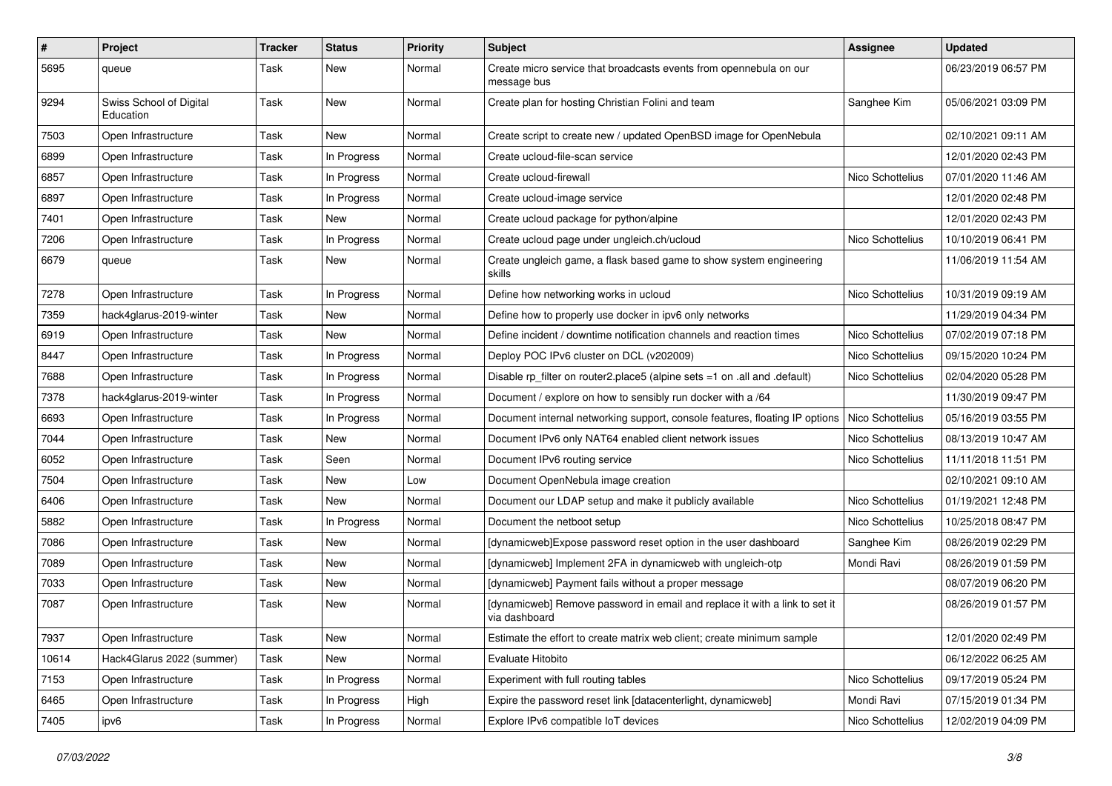| $\sharp$ | Project                              | Tracker | <b>Status</b> | <b>Priority</b> | <b>Subject</b>                                                                              | Assignee         | <b>Updated</b>      |
|----------|--------------------------------------|---------|---------------|-----------------|---------------------------------------------------------------------------------------------|------------------|---------------------|
| 5695     | queue                                | Task    | New           | Normal          | Create micro service that broadcasts events from opennebula on our<br>message bus           |                  | 06/23/2019 06:57 PM |
| 9294     | Swiss School of Digital<br>Education | Task    | New           | Normal          | Create plan for hosting Christian Folini and team                                           | Sanghee Kim      | 05/06/2021 03:09 PM |
| 7503     | Open Infrastructure                  | Task    | New           | Normal          | Create script to create new / updated OpenBSD image for OpenNebula                          |                  | 02/10/2021 09:11 AM |
| 6899     | Open Infrastructure                  | Task    | In Progress   | Normal          | Create ucloud-file-scan service                                                             |                  | 12/01/2020 02:43 PM |
| 6857     | Open Infrastructure                  | Task    | In Progress   | Normal          | Create ucloud-firewall                                                                      | Nico Schottelius | 07/01/2020 11:46 AM |
| 6897     | Open Infrastructure                  | Task    | In Progress   | Normal          | Create ucloud-image service                                                                 |                  | 12/01/2020 02:48 PM |
| 7401     | Open Infrastructure                  | Task    | New           | Normal          | Create ucloud package for python/alpine                                                     |                  | 12/01/2020 02:43 PM |
| 7206     | Open Infrastructure                  | Task    | In Progress   | Normal          | Create ucloud page under ungleich.ch/ucloud                                                 | Nico Schottelius | 10/10/2019 06:41 PM |
| 6679     | queue                                | Task    | New           | Normal          | Create ungleich game, a flask based game to show system engineering<br>skills               |                  | 11/06/2019 11:54 AM |
| 7278     | Open Infrastructure                  | Task    | In Progress   | Normal          | Define how networking works in ucloud                                                       | Nico Schottelius | 10/31/2019 09:19 AM |
| 7359     | hack4glarus-2019-winter              | Task    | New           | Normal          | Define how to properly use docker in ipv6 only networks                                     |                  | 11/29/2019 04:34 PM |
| 6919     | Open Infrastructure                  | Task    | <b>New</b>    | Normal          | Define incident / downtime notification channels and reaction times                         | Nico Schottelius | 07/02/2019 07:18 PM |
| 8447     | Open Infrastructure                  | Task    | In Progress   | Normal          | Deploy POC IPv6 cluster on DCL (v202009)                                                    | Nico Schottelius | 09/15/2020 10:24 PM |
| 7688     | Open Infrastructure                  | Task    | In Progress   | Normal          | Disable rp_filter on router2.place5 (alpine sets =1 on .all and .default)                   | Nico Schottelius | 02/04/2020 05:28 PM |
| 7378     | hack4glarus-2019-winter              | Task    | In Progress   | Normal          | Document / explore on how to sensibly run docker with a /64                                 |                  | 11/30/2019 09:47 PM |
| 6693     | Open Infrastructure                  | Task    | In Progress   | Normal          | Document internal networking support, console features, floating IP options                 | Nico Schottelius | 05/16/2019 03:55 PM |
| 7044     | Open Infrastructure                  | Task    | New           | Normal          | Document IPv6 only NAT64 enabled client network issues                                      | Nico Schottelius | 08/13/2019 10:47 AM |
| 6052     | Open Infrastructure                  | Task    | Seen          | Normal          | Document IPv6 routing service                                                               | Nico Schottelius | 11/11/2018 11:51 PM |
| 7504     | Open Infrastructure                  | Task    | New           | Low             | Document OpenNebula image creation                                                          |                  | 02/10/2021 09:10 AM |
| 6406     | Open Infrastructure                  | Task    | <b>New</b>    | Normal          | Document our LDAP setup and make it publicly available                                      | Nico Schottelius | 01/19/2021 12:48 PM |
| 5882     | Open Infrastructure                  | Task    | In Progress   | Normal          | Document the netboot setup                                                                  | Nico Schottelius | 10/25/2018 08:47 PM |
| 7086     | Open Infrastructure                  | Task    | New           | Normal          | [dynamicweb]Expose password reset option in the user dashboard                              | Sanghee Kim      | 08/26/2019 02:29 PM |
| 7089     | Open Infrastructure                  | Task    | New           | Normal          | [dynamicweb] Implement 2FA in dynamicweb with ungleich-otp                                  | Mondi Ravi       | 08/26/2019 01:59 PM |
| 7033     | Open Infrastructure                  | Task    | New           | Normal          | [dynamicweb] Payment fails without a proper message                                         |                  | 08/07/2019 06:20 PM |
| 7087     | Open Infrastructure                  | Task    | New           | Normal          | [dynamicweb] Remove password in email and replace it with a link to set it<br>via dashboard |                  | 08/26/2019 01:57 PM |
| 7937     | Open Infrastructure                  | Task    | New           | Normal          | Estimate the effort to create matrix web client; create minimum sample                      |                  | 12/01/2020 02:49 PM |
| 10614    | Hack4Glarus 2022 (summer)            | Task    | New           | Normal          | Evaluate Hitobito                                                                           |                  | 06/12/2022 06:25 AM |
| 7153     | Open Infrastructure                  | Task    | In Progress   | Normal          | Experiment with full routing tables                                                         | Nico Schottelius | 09/17/2019 05:24 PM |
| 6465     | Open Infrastructure                  | Task    | In Progress   | High            | Expire the password reset link [datacenterlight, dynamicweb]                                | Mondi Ravi       | 07/15/2019 01:34 PM |
| 7405     | ipv6                                 | Task    | In Progress   | Normal          | Explore IPv6 compatible IoT devices                                                         | Nico Schottelius | 12/02/2019 04:09 PM |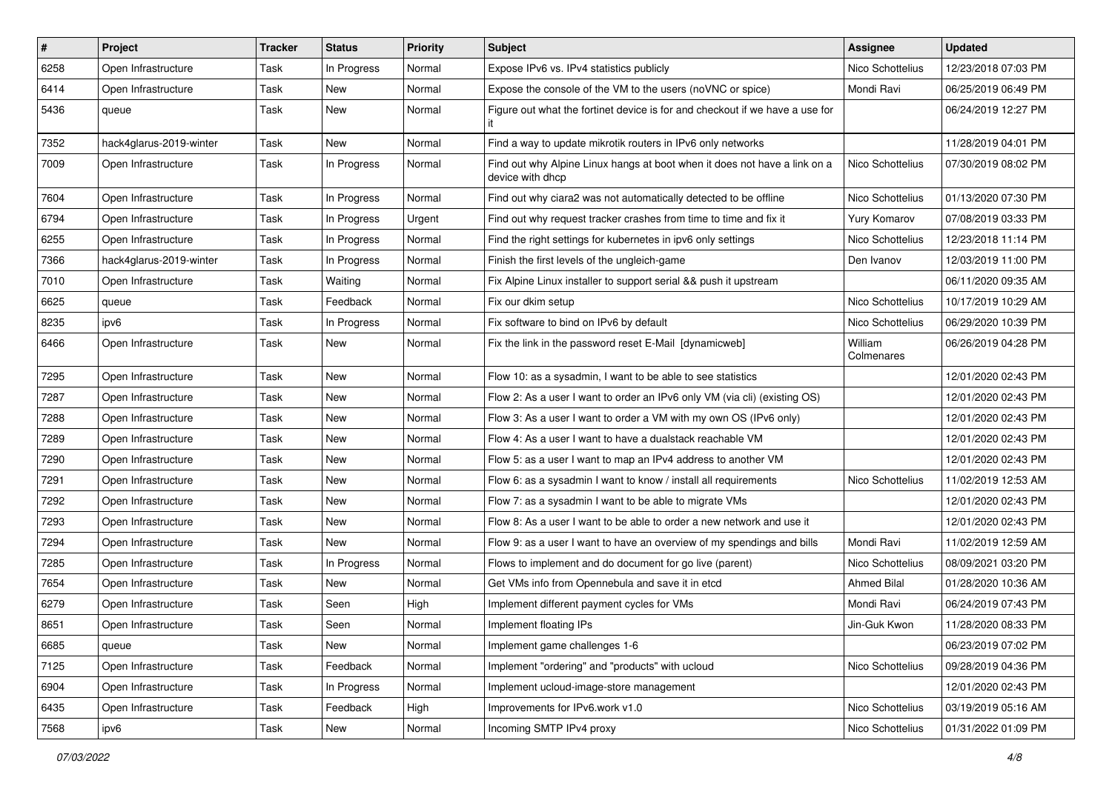| $\vert$ # | Project                 | <b>Tracker</b> | <b>Status</b> | <b>Priority</b> | Subject                                                                                       | <b>Assignee</b>       | <b>Updated</b>      |
|-----------|-------------------------|----------------|---------------|-----------------|-----------------------------------------------------------------------------------------------|-----------------------|---------------------|
| 6258      | Open Infrastructure     | Task           | In Progress   | Normal          | Expose IPv6 vs. IPv4 statistics publicly                                                      | Nico Schottelius      | 12/23/2018 07:03 PM |
| 6414      | Open Infrastructure     | Task           | New           | Normal          | Expose the console of the VM to the users (noVNC or spice)                                    | Mondi Ravi            | 06/25/2019 06:49 PM |
| 5436      | queue                   | Task           | New           | Normal          | Figure out what the fortinet device is for and checkout if we have a use for                  |                       | 06/24/2019 12:27 PM |
| 7352      | hack4glarus-2019-winter | Task           | New           | Normal          | Find a way to update mikrotik routers in IPv6 only networks                                   |                       | 11/28/2019 04:01 PM |
| 7009      | Open Infrastructure     | Task           | In Progress   | Normal          | Find out why Alpine Linux hangs at boot when it does not have a link on a<br>device with dhcp | Nico Schottelius      | 07/30/2019 08:02 PM |
| 7604      | Open Infrastructure     | Task           | In Progress   | Normal          | Find out why ciara2 was not automatically detected to be offline                              | Nico Schottelius      | 01/13/2020 07:30 PM |
| 6794      | Open Infrastructure     | Task           | In Progress   | Urgent          | Find out why request tracker crashes from time to time and fix it                             | Yury Komarov          | 07/08/2019 03:33 PM |
| 6255      | Open Infrastructure     | Task           | In Progress   | Normal          | Find the right settings for kubernetes in ipv6 only settings                                  | Nico Schottelius      | 12/23/2018 11:14 PM |
| 7366      | hack4glarus-2019-winter | Task           | In Progress   | Normal          | Finish the first levels of the ungleich-game                                                  | Den Ivanov            | 12/03/2019 11:00 PM |
| 7010      | Open Infrastructure     | Task           | Waiting       | Normal          | Fix Alpine Linux installer to support serial && push it upstream                              |                       | 06/11/2020 09:35 AM |
| 6625      | queue                   | Task           | Feedback      | Normal          | Fix our dkim setup                                                                            | Nico Schottelius      | 10/17/2019 10:29 AM |
| 8235      | ipv6                    | Task           | In Progress   | Normal          | Fix software to bind on IPv6 by default                                                       | Nico Schottelius      | 06/29/2020 10:39 PM |
| 6466      | Open Infrastructure     | Task           | New           | Normal          | Fix the link in the password reset E-Mail [dynamicweb]                                        | William<br>Colmenares | 06/26/2019 04:28 PM |
| 7295      | Open Infrastructure     | Task           | New           | Normal          | Flow 10: as a sysadmin, I want to be able to see statistics                                   |                       | 12/01/2020 02:43 PM |
| 7287      | Open Infrastructure     | Task           | New           | Normal          | Flow 2: As a user I want to order an IPv6 only VM (via cli) (existing OS)                     |                       | 12/01/2020 02:43 PM |
| 7288      | Open Infrastructure     | Task           | New           | Normal          | Flow 3: As a user I want to order a VM with my own OS (IPv6 only)                             |                       | 12/01/2020 02:43 PM |
| 7289      | Open Infrastructure     | Task           | New           | Normal          | Flow 4: As a user I want to have a dualstack reachable VM                                     |                       | 12/01/2020 02:43 PM |
| 7290      | Open Infrastructure     | Task           | New           | Normal          | Flow 5: as a user I want to map an IPv4 address to another VM                                 |                       | 12/01/2020 02:43 PM |
| 7291      | Open Infrastructure     | Task           | New           | Normal          | Flow 6: as a sysadmin I want to know / install all requirements                               | Nico Schottelius      | 11/02/2019 12:53 AM |
| 7292      | Open Infrastructure     | Task           | New           | Normal          | Flow 7: as a sysadmin I want to be able to migrate VMs                                        |                       | 12/01/2020 02:43 PM |
| 7293      | Open Infrastructure     | Task           | New           | Normal          | Flow 8: As a user I want to be able to order a new network and use it                         |                       | 12/01/2020 02:43 PM |
| 7294      | Open Infrastructure     | Task           | New           | Normal          | Flow 9: as a user I want to have an overview of my spendings and bills                        | Mondi Ravi            | 11/02/2019 12:59 AM |
| 7285      | Open Infrastructure     | Task           | In Progress   | Normal          | Flows to implement and do document for go live (parent)                                       | Nico Schottelius      | 08/09/2021 03:20 PM |
| 7654      | Open Infrastructure     | Task           | New           | Normal          | Get VMs info from Opennebula and save it in etcd                                              | Ahmed Bilal           | 01/28/2020 10:36 AM |
| 6279      | Open Infrastructure     | Task           | Seen          | High            | Implement different payment cycles for VMs                                                    | Mondi Ravi            | 06/24/2019 07:43 PM |
| 8651      | Open Infrastructure     | Task           | Seen          | Normal          | Implement floating IPs                                                                        | Jin-Guk Kwon          | 11/28/2020 08:33 PM |
| 6685      | queue                   | Task           | New           | Normal          | Implement game challenges 1-6                                                                 |                       | 06/23/2019 07:02 PM |
| 7125      | Open Infrastructure     | Task           | Feedback      | Normal          | Implement "ordering" and "products" with ucloud                                               | Nico Schottelius      | 09/28/2019 04:36 PM |
| 6904      | Open Infrastructure     | Task           | In Progress   | Normal          | Implement ucloud-image-store management                                                       |                       | 12/01/2020 02:43 PM |
| 6435      | Open Infrastructure     | Task           | Feedback      | High            | Improvements for IPv6.work v1.0                                                               | Nico Schottelius      | 03/19/2019 05:16 AM |
| 7568      | ipv6                    | Task           | New           | Normal          | Incoming SMTP IPv4 proxy                                                                      | Nico Schottelius      | 01/31/2022 01:09 PM |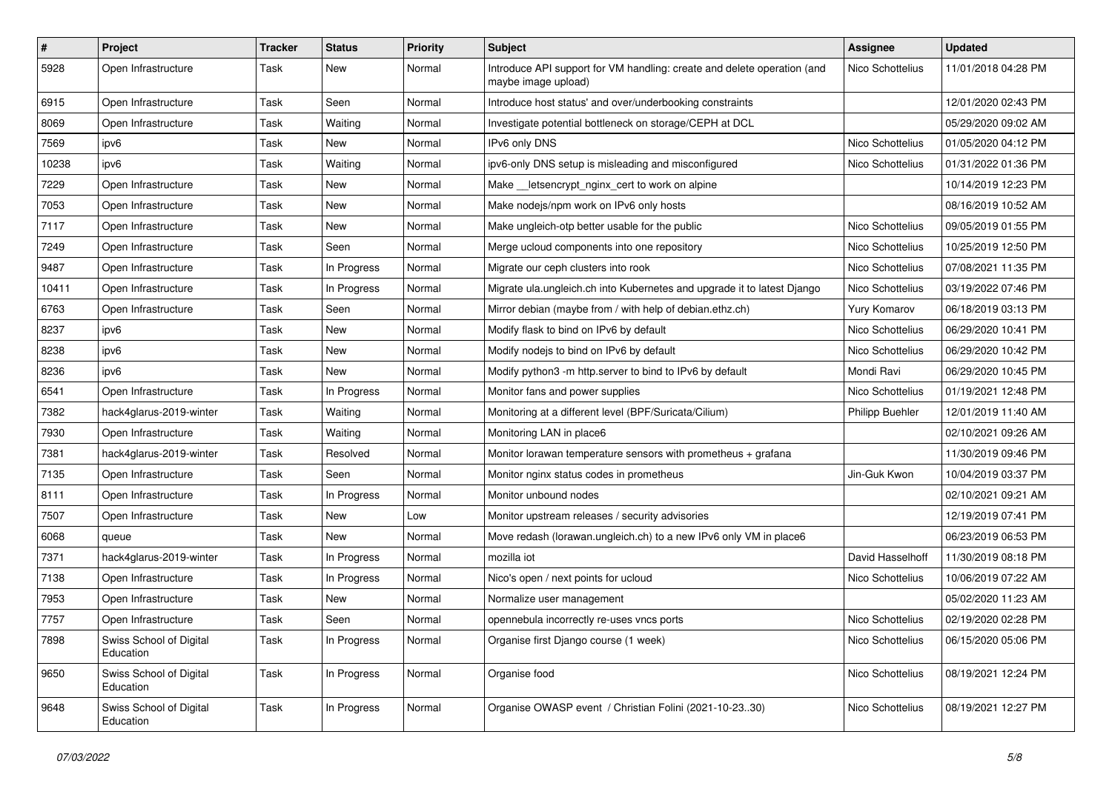| $\sharp$ | Project                              | <b>Tracker</b> | <b>Status</b> | <b>Priority</b> | <b>Subject</b>                                                                                 | <b>Assignee</b>        | <b>Updated</b>      |
|----------|--------------------------------------|----------------|---------------|-----------------|------------------------------------------------------------------------------------------------|------------------------|---------------------|
| 5928     | Open Infrastructure                  | Task           | New           | Normal          | Introduce API support for VM handling: create and delete operation (and<br>maybe image upload) | Nico Schottelius       | 11/01/2018 04:28 PM |
| 6915     | Open Infrastructure                  | Task           | Seen          | Normal          | Introduce host status' and over/underbooking constraints                                       |                        | 12/01/2020 02:43 PM |
| 8069     | Open Infrastructure                  | Task           | Waiting       | Normal          | Investigate potential bottleneck on storage/CEPH at DCL                                        |                        | 05/29/2020 09:02 AM |
| 7569     | ipv6                                 | Task           | New           | Normal          | IPv6 only DNS                                                                                  | Nico Schottelius       | 01/05/2020 04:12 PM |
| 10238    | ipv6                                 | Task           | Waiting       | Normal          | ipv6-only DNS setup is misleading and misconfigured                                            | Nico Schottelius       | 01/31/2022 01:36 PM |
| 7229     | Open Infrastructure                  | Task           | New           | Normal          | Make __ letsencrypt_nginx_cert to work on alpine                                               |                        | 10/14/2019 12:23 PM |
| 7053     | Open Infrastructure                  | Task           | New           | Normal          | Make nodejs/npm work on IPv6 only hosts                                                        |                        | 08/16/2019 10:52 AM |
| 7117     | Open Infrastructure                  | Task           | New           | Normal          | Make ungleich-otp better usable for the public                                                 | Nico Schottelius       | 09/05/2019 01:55 PM |
| 7249     | Open Infrastructure                  | Task           | Seen          | Normal          | Merge ucloud components into one repository                                                    | Nico Schottelius       | 10/25/2019 12:50 PM |
| 9487     | Open Infrastructure                  | Task           | In Progress   | Normal          | Migrate our ceph clusters into rook                                                            | Nico Schottelius       | 07/08/2021 11:35 PM |
| 10411    | Open Infrastructure                  | Task           | In Progress   | Normal          | Migrate ula.ungleich.ch into Kubernetes and upgrade it to latest Django                        | Nico Schottelius       | 03/19/2022 07:46 PM |
| 6763     | Open Infrastructure                  | Task           | Seen          | Normal          | Mirror debian (maybe from / with help of debian.ethz.ch)                                       | Yury Komarov           | 06/18/2019 03:13 PM |
| 8237     | ipv6                                 | Task           | New           | Normal          | Modify flask to bind on IPv6 by default                                                        | Nico Schottelius       | 06/29/2020 10:41 PM |
| 8238     | ipv6                                 | Task           | New           | Normal          | Modify nodejs to bind on IPv6 by default                                                       | Nico Schottelius       | 06/29/2020 10:42 PM |
| 8236     | ipv6                                 | Task           | New           | Normal          | Modify python3 -m http.server to bind to IPv6 by default                                       | Mondi Ravi             | 06/29/2020 10:45 PM |
| 6541     | Open Infrastructure                  | Task           | In Progress   | Normal          | Monitor fans and power supplies                                                                | Nico Schottelius       | 01/19/2021 12:48 PM |
| 7382     | hack4glarus-2019-winter              | Task           | Waiting       | Normal          | Monitoring at a different level (BPF/Suricata/Cilium)                                          | <b>Philipp Buehler</b> | 12/01/2019 11:40 AM |
| 7930     | Open Infrastructure                  | Task           | Waiting       | Normal          | Monitoring LAN in place6                                                                       |                        | 02/10/2021 09:26 AM |
| 7381     | hack4glarus-2019-winter              | Task           | Resolved      | Normal          | Monitor lorawan temperature sensors with prometheus $+$ grafana                                |                        | 11/30/2019 09:46 PM |
| 7135     | Open Infrastructure                  | Task           | Seen          | Normal          | Monitor nginx status codes in prometheus                                                       | Jin-Guk Kwon           | 10/04/2019 03:37 PM |
| 8111     | Open Infrastructure                  | Task           | In Progress   | Normal          | Monitor unbound nodes                                                                          |                        | 02/10/2021 09:21 AM |
| 7507     | Open Infrastructure                  | Task           | New           | Low             | Monitor upstream releases / security advisories                                                |                        | 12/19/2019 07:41 PM |
| 6068     | queue                                | Task           | New           | Normal          | Move redash (lorawan.ungleich.ch) to a new IPv6 only VM in place6                              |                        | 06/23/2019 06:53 PM |
| 7371     | hack4glarus-2019-winter              | Task           | In Progress   | Normal          | mozilla iot                                                                                    | David Hasselhoff       | 11/30/2019 08:18 PM |
| 7138     | Open Infrastructure                  | Task           | In Progress   | Normal          | Nico's open / next points for ucloud                                                           | Nico Schottelius       | 10/06/2019 07:22 AM |
| 7953     | Open Infrastructure                  | Task           | New           | Normal          | Normalize user management                                                                      |                        | 05/02/2020 11:23 AM |
| 7757     | Open Infrastructure                  | Task           | Seen          | Normal          | opennebula incorrectly re-uses vncs ports                                                      | Nico Schottelius       | 02/19/2020 02:28 PM |
| 7898     | Swiss School of Digital<br>Education | Task           | In Progress   | Normal          | Organise first Django course (1 week)                                                          | Nico Schottelius       | 06/15/2020 05:06 PM |
| 9650     | Swiss School of Digital<br>Education | Task           | In Progress   | Normal          | Organise food                                                                                  | Nico Schottelius       | 08/19/2021 12:24 PM |
| 9648     | Swiss School of Digital<br>Education | Task           | In Progress   | Normal          | Organise OWASP event / Christian Folini (2021-10-2330)                                         | Nico Schottelius       | 08/19/2021 12:27 PM |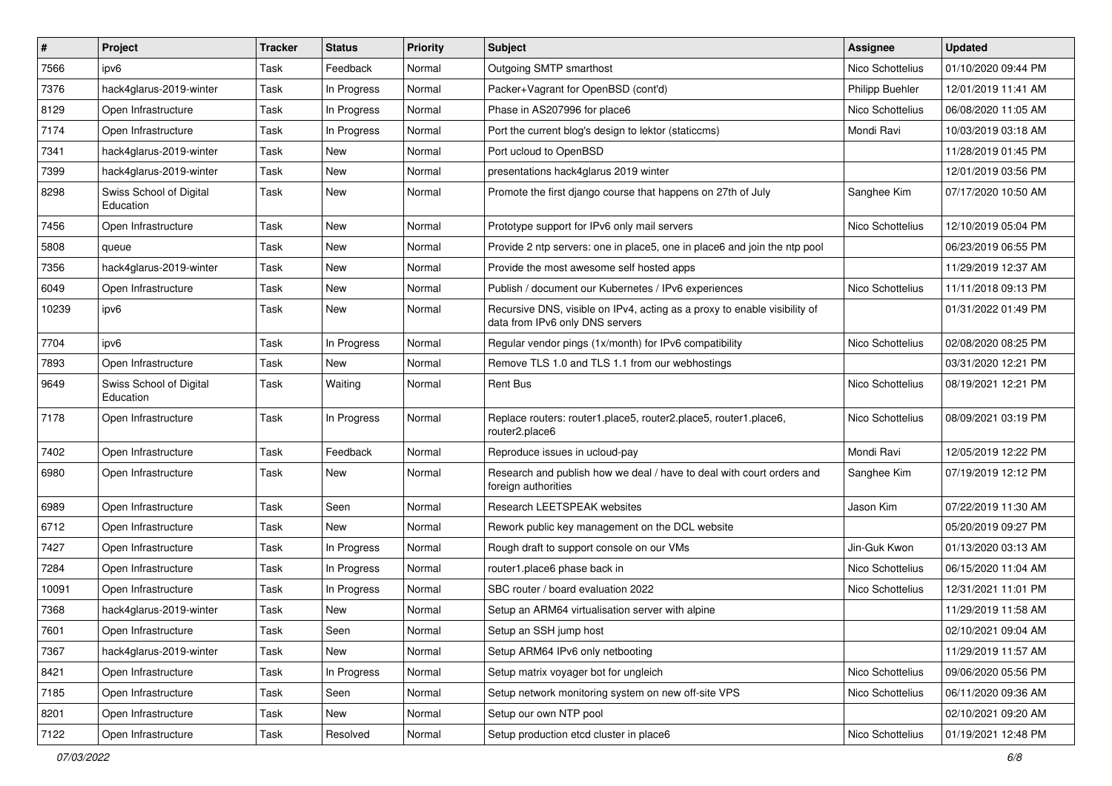| $\vert$ # | Project                              | <b>Tracker</b> | <b>Status</b> | <b>Priority</b> | Subject                                                                                                      | <b>Assignee</b>        | <b>Updated</b>      |
|-----------|--------------------------------------|----------------|---------------|-----------------|--------------------------------------------------------------------------------------------------------------|------------------------|---------------------|
| 7566      | ipv6                                 | Task           | Feedback      | Normal          | Outgoing SMTP smarthost                                                                                      | Nico Schottelius       | 01/10/2020 09:44 PM |
| 7376      | hack4glarus-2019-winter              | Task           | In Progress   | Normal          | Packer+Vagrant for OpenBSD (cont'd)                                                                          | <b>Philipp Buehler</b> | 12/01/2019 11:41 AM |
| 8129      | Open Infrastructure                  | Task           | In Progress   | Normal          | Phase in AS207996 for place6                                                                                 | Nico Schottelius       | 06/08/2020 11:05 AM |
| 7174      | Open Infrastructure                  | Task           | In Progress   | Normal          | Port the current blog's design to lektor (staticcms)                                                         | Mondi Ravi             | 10/03/2019 03:18 AM |
| 7341      | hack4glarus-2019-winter              | Task           | New           | Normal          | Port ucloud to OpenBSD                                                                                       |                        | 11/28/2019 01:45 PM |
| 7399      | hack4glarus-2019-winter              | Task           | New           | Normal          | presentations hack4glarus 2019 winter                                                                        |                        | 12/01/2019 03:56 PM |
| 8298      | Swiss School of Digital<br>Education | Task           | New           | Normal          | Promote the first django course that happens on 27th of July                                                 | Sanghee Kim            | 07/17/2020 10:50 AM |
| 7456      | Open Infrastructure                  | Task           | New           | Normal          | Prototype support for IPv6 only mail servers                                                                 | Nico Schottelius       | 12/10/2019 05:04 PM |
| 5808      | queue                                | Task           | New           | Normal          | Provide 2 ntp servers: one in place5, one in place6 and join the ntp pool                                    |                        | 06/23/2019 06:55 PM |
| 7356      | hack4glarus-2019-winter              | Task           | New           | Normal          | Provide the most awesome self hosted apps                                                                    |                        | 11/29/2019 12:37 AM |
| 6049      | Open Infrastructure                  | Task           | New           | Normal          | Publish / document our Kubernetes / IPv6 experiences                                                         | Nico Schottelius       | 11/11/2018 09:13 PM |
| 10239     | ipv6                                 | Task           | New           | Normal          | Recursive DNS, visible on IPv4, acting as a proxy to enable visibility of<br>data from IPv6 only DNS servers |                        | 01/31/2022 01:49 PM |
| 7704      | ipv6                                 | Task           | In Progress   | Normal          | Regular vendor pings (1x/month) for IPv6 compatibility                                                       | Nico Schottelius       | 02/08/2020 08:25 PM |
| 7893      | Open Infrastructure                  | Task           | New           | Normal          | Remove TLS 1.0 and TLS 1.1 from our webhostings                                                              |                        | 03/31/2020 12:21 PM |
| 9649      | Swiss School of Digital<br>Education | Task           | Waiting       | Normal          | Rent Bus                                                                                                     | Nico Schottelius       | 08/19/2021 12:21 PM |
| 7178      | Open Infrastructure                  | Task           | In Progress   | Normal          | Replace routers: router1.place5, router2.place5, router1.place6,<br>router2.place6                           | Nico Schottelius       | 08/09/2021 03:19 PM |
| 7402      | Open Infrastructure                  | Task           | Feedback      | Normal          | Reproduce issues in ucloud-pay                                                                               | Mondi Ravi             | 12/05/2019 12:22 PM |
| 6980      | Open Infrastructure                  | Task           | New           | Normal          | Research and publish how we deal / have to deal with court orders and<br>foreign authorities                 | Sanghee Kim            | 07/19/2019 12:12 PM |
| 6989      | Open Infrastructure                  | Task           | Seen          | Normal          | Research LEETSPEAK websites                                                                                  | Jason Kim              | 07/22/2019 11:30 AM |
| 6712      | Open Infrastructure                  | Task           | New           | Normal          | Rework public key management on the DCL website                                                              |                        | 05/20/2019 09:27 PM |
| 7427      | Open Infrastructure                  | Task           | In Progress   | Normal          | Rough draft to support console on our VMs                                                                    | Jin-Guk Kwon           | 01/13/2020 03:13 AM |
| 7284      | Open Infrastructure                  | Task           | In Progress   | Normal          | router1.place6 phase back in                                                                                 | Nico Schottelius       | 06/15/2020 11:04 AM |
| 10091     | Open Infrastructure                  | Task           | In Progress   | Normal          | SBC router / board evaluation 2022                                                                           | Nico Schottelius       | 12/31/2021 11:01 PM |
| 7368      | hack4glarus-2019-winter              | Task           | New           | Normal          | Setup an ARM64 virtualisation server with alpine                                                             |                        | 11/29/2019 11:58 AM |
| 7601      | Open Infrastructure                  | Task           | Seen          | Normal          | Setup an SSH jump host                                                                                       |                        | 02/10/2021 09:04 AM |
| 7367      | hack4glarus-2019-winter              | Task           | New           | Normal          | Setup ARM64 IPv6 only netbooting                                                                             |                        | 11/29/2019 11:57 AM |
| 8421      | Open Infrastructure                  | Task           | In Progress   | Normal          | Setup matrix voyager bot for ungleich                                                                        | Nico Schottelius       | 09/06/2020 05:56 PM |
| 7185      | Open Infrastructure                  | Task           | Seen          | Normal          | Setup network monitoring system on new off-site VPS                                                          | Nico Schottelius       | 06/11/2020 09:36 AM |
| 8201      | Open Infrastructure                  | Task           | New           | Normal          | Setup our own NTP pool                                                                                       |                        | 02/10/2021 09:20 AM |
| 7122      | Open Infrastructure                  | Task           | Resolved      | Normal          | Setup production etcd cluster in place6                                                                      | Nico Schottelius       | 01/19/2021 12:48 PM |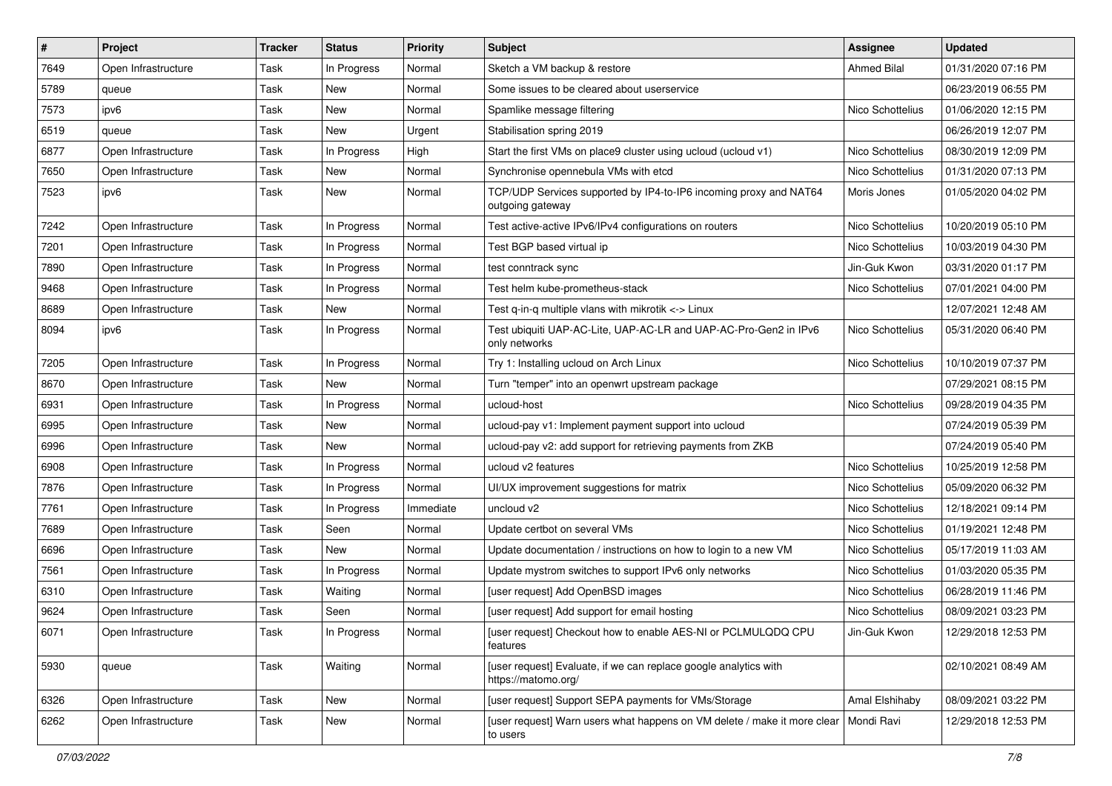| $\vert$ # | Project             | <b>Tracker</b> | <b>Status</b> | <b>Priority</b> | <b>Subject</b>                                                                                    | <b>Assignee</b>  | <b>Updated</b>      |
|-----------|---------------------|----------------|---------------|-----------------|---------------------------------------------------------------------------------------------------|------------------|---------------------|
| 7649      | Open Infrastructure | Task           | In Progress   | Normal          | Sketch a VM backup & restore                                                                      | Ahmed Bilal      | 01/31/2020 07:16 PM |
| 5789      | queue               | Task           | <b>New</b>    | Normal          | Some issues to be cleared about userservice                                                       |                  | 06/23/2019 06:55 PM |
| 7573      | ipv6                | Task           | New           | Normal          | Spamlike message filtering                                                                        | Nico Schottelius | 01/06/2020 12:15 PM |
| 6519      | queue               | Task           | New           | Urgent          | Stabilisation spring 2019                                                                         |                  | 06/26/2019 12:07 PM |
| 6877      | Open Infrastructure | Task           | In Progress   | High            | Start the first VMs on place9 cluster using ucloud (ucloud v1)                                    | Nico Schottelius | 08/30/2019 12:09 PM |
| 7650      | Open Infrastructure | Task           | New           | Normal          | Synchronise opennebula VMs with etcd                                                              | Nico Schottelius | 01/31/2020 07:13 PM |
| 7523      | ipv6                | Task           | New           | Normal          | TCP/UDP Services supported by IP4-to-IP6 incoming proxy and NAT64<br>outgoing gateway             | Moris Jones      | 01/05/2020 04:02 PM |
| 7242      | Open Infrastructure | Task           | In Progress   | Normal          | Test active-active IPv6/IPv4 configurations on routers                                            | Nico Schottelius | 10/20/2019 05:10 PM |
| 7201      | Open Infrastructure | Task           | In Progress   | Normal          | Test BGP based virtual ip                                                                         | Nico Schottelius | 10/03/2019 04:30 PM |
| 7890      | Open Infrastructure | Task           | In Progress   | Normal          | test conntrack sync                                                                               | Jin-Guk Kwon     | 03/31/2020 01:17 PM |
| 9468      | Open Infrastructure | Task           | In Progress   | Normal          | Test helm kube-prometheus-stack                                                                   | Nico Schottelius | 07/01/2021 04:00 PM |
| 8689      | Open Infrastructure | Task           | <b>New</b>    | Normal          | Test q-in-q multiple vlans with mikrotik <-> Linux                                                |                  | 12/07/2021 12:48 AM |
| 8094      | ipv6                | Task           | In Progress   | Normal          | Test ubiquiti UAP-AC-Lite, UAP-AC-LR and UAP-AC-Pro-Gen2 in IPv6<br>only networks                 | Nico Schottelius | 05/31/2020 06:40 PM |
| 7205      | Open Infrastructure | Task           | In Progress   | Normal          | Try 1: Installing ucloud on Arch Linux                                                            | Nico Schottelius | 10/10/2019 07:37 PM |
| 8670      | Open Infrastructure | Task           | New           | Normal          | Turn "temper" into an openwrt upstream package                                                    |                  | 07/29/2021 08:15 PM |
| 6931      | Open Infrastructure | Task           | In Progress   | Normal          | ucloud-host                                                                                       | Nico Schottelius | 09/28/2019 04:35 PM |
| 6995      | Open Infrastructure | Task           | New           | Normal          | ucloud-pay v1: Implement payment support into ucloud                                              |                  | 07/24/2019 05:39 PM |
| 6996      | Open Infrastructure | Task           | New           | Normal          | ucloud-pay v2: add support for retrieving payments from ZKB                                       |                  | 07/24/2019 05:40 PM |
| 6908      | Open Infrastructure | Task           | In Progress   | Normal          | ucloud v2 features                                                                                | Nico Schottelius | 10/25/2019 12:58 PM |
| 7876      | Open Infrastructure | Task           | In Progress   | Normal          | UI/UX improvement suggestions for matrix                                                          | Nico Schottelius | 05/09/2020 06:32 PM |
| 7761      | Open Infrastructure | Task           | In Progress   | Immediate       | uncloud v2                                                                                        | Nico Schottelius | 12/18/2021 09:14 PM |
| 7689      | Open Infrastructure | Task           | Seen          | Normal          | Update certbot on several VMs                                                                     | Nico Schottelius | 01/19/2021 12:48 PM |
| 6696      | Open Infrastructure | Task           | New           | Normal          | Update documentation / instructions on how to login to a new VM                                   | Nico Schottelius | 05/17/2019 11:03 AM |
| 7561      | Open Infrastructure | Task           | In Progress   | Normal          | Update mystrom switches to support IPv6 only networks                                             | Nico Schottelius | 01/03/2020 05:35 PM |
| 6310      | Open Infrastructure | Task           | Waiting       | Normal          | [user request] Add OpenBSD images                                                                 | Nico Schottelius | 06/28/2019 11:46 PM |
| 9624      | Open Infrastructure | Task           | Seen          | Normal          | [user request] Add support for email hosting                                                      | Nico Schottelius | 08/09/2021 03:23 PM |
| 6071      | Open Infrastructure | Task           | In Progress   | Normal          | [user request] Checkout how to enable AES-NI or PCLMULQDQ CPU<br>features                         | Jin-Guk Kwon     | 12/29/2018 12:53 PM |
| 5930      | queue               | Task           | Waiting       | Normal          | [user request] Evaluate, if we can replace google analytics with<br>https://matomo.org/           |                  | 02/10/2021 08:49 AM |
| 6326      | Open Infrastructure | Task           | New           | Normal          | [user request] Support SEPA payments for VMs/Storage                                              | Amal Elshihaby   | 08/09/2021 03:22 PM |
| 6262      | Open Infrastructure | Task           | New           | Normal          | [user request] Warn users what happens on VM delete / make it more clear   Mondi Ravi<br>to users |                  | 12/29/2018 12:53 PM |